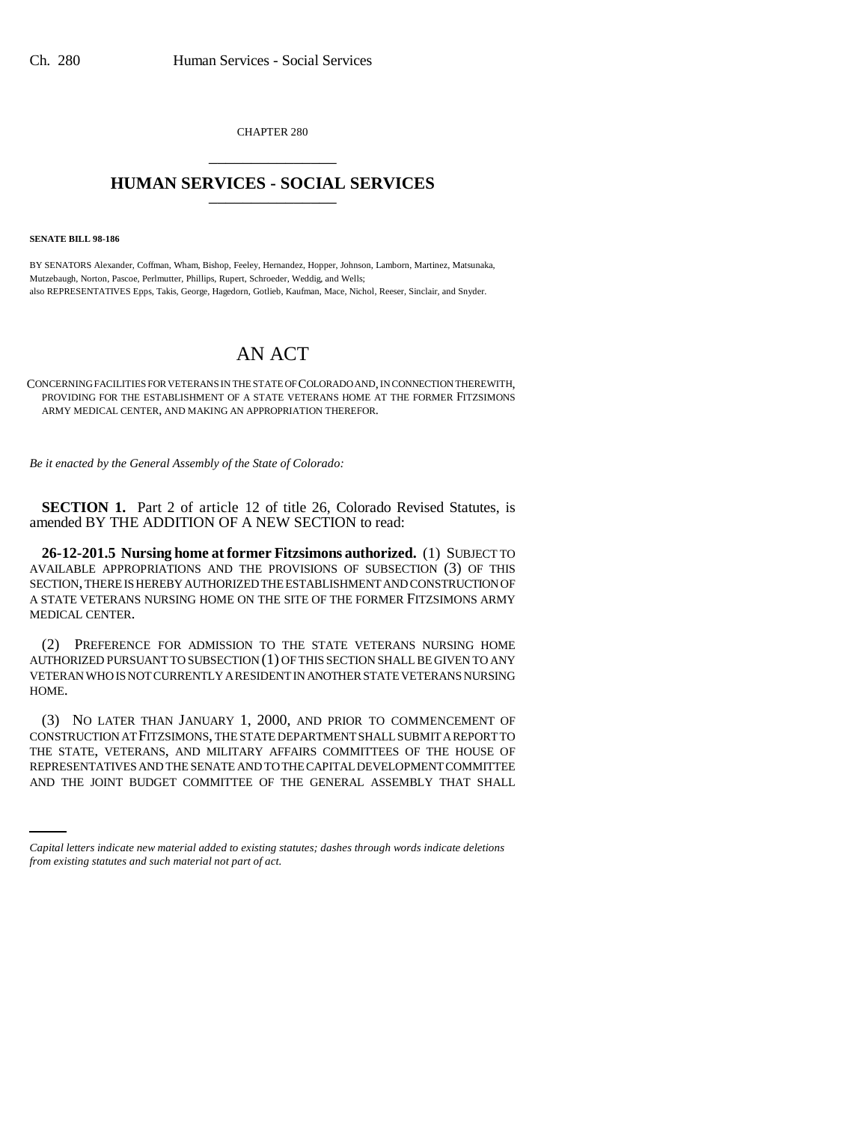CHAPTER 280 \_\_\_\_\_\_\_\_\_\_\_\_\_\_\_

## **HUMAN SERVICES - SOCIAL SERVICES** \_\_\_\_\_\_\_\_\_\_\_\_\_\_\_

**SENATE BILL 98-186**

BY SENATORS Alexander, Coffman, Wham, Bishop, Feeley, Hernandez, Hopper, Johnson, Lamborn, Martinez, Matsunaka, Mutzebaugh, Norton, Pascoe, Perlmutter, Phillips, Rupert, Schroeder, Weddig, and Wells; also REPRESENTATIVES Epps, Takis, George, Hagedorn, Gotlieb, Kaufman, Mace, Nichol, Reeser, Sinclair, and Snyder.

## AN ACT

CONCERNING FACILITIES FOR VETERANS IN THE STATE OF COLORADO AND, IN CONNECTION THEREWITH, PROVIDING FOR THE ESTABLISHMENT OF A STATE VETERANS HOME AT THE FORMER FITZSIMONS ARMY MEDICAL CENTER, AND MAKING AN APPROPRIATION THEREFOR.

*Be it enacted by the General Assembly of the State of Colorado:*

**SECTION 1.** Part 2 of article 12 of title 26, Colorado Revised Statutes, is amended BY THE ADDITION OF A NEW SECTION to read:

**26-12-201.5 Nursing home at former Fitzsimons authorized.** (1) SUBJECT TO AVAILABLE APPROPRIATIONS AND THE PROVISIONS OF SUBSECTION (3) OF THIS SECTION, THERE IS HEREBY AUTHORIZED THE ESTABLISHMENT AND CONSTRUCTION OF A STATE VETERANS NURSING HOME ON THE SITE OF THE FORMER FITZSIMONS ARMY MEDICAL CENTER.

(2) PREFERENCE FOR ADMISSION TO THE STATE VETERANS NURSING HOME AUTHORIZED PURSUANT TO SUBSECTION (1) OF THIS SECTION SHALL BE GIVEN TO ANY VETERAN WHO IS NOT CURRENTLY A RESIDENT IN ANOTHER STATE VETERANS NURSING HOME.

THE STATE, VETERANS, AND MILITARY AFFAIRS COMMITTEES OF THE HOUSE OF<br>REPRESENTATIVES AND THE SENATE AND TO THE CAPITAL DEVELOPMENT COMMITTEE (3) NO LATER THAN JANUARY 1, 2000, AND PRIOR TO COMMENCEMENT OF CONSTRUCTION AT FITZSIMONS, THE STATE DEPARTMENT SHALL SUBMIT A REPORT TO THE STATE, VETERANS, AND MILITARY AFFAIRS COMMITTEES OF THE HOUSE OF AND THE JOINT BUDGET COMMITTEE OF THE GENERAL ASSEMBLY THAT SHALL

*Capital letters indicate new material added to existing statutes; dashes through words indicate deletions from existing statutes and such material not part of act.*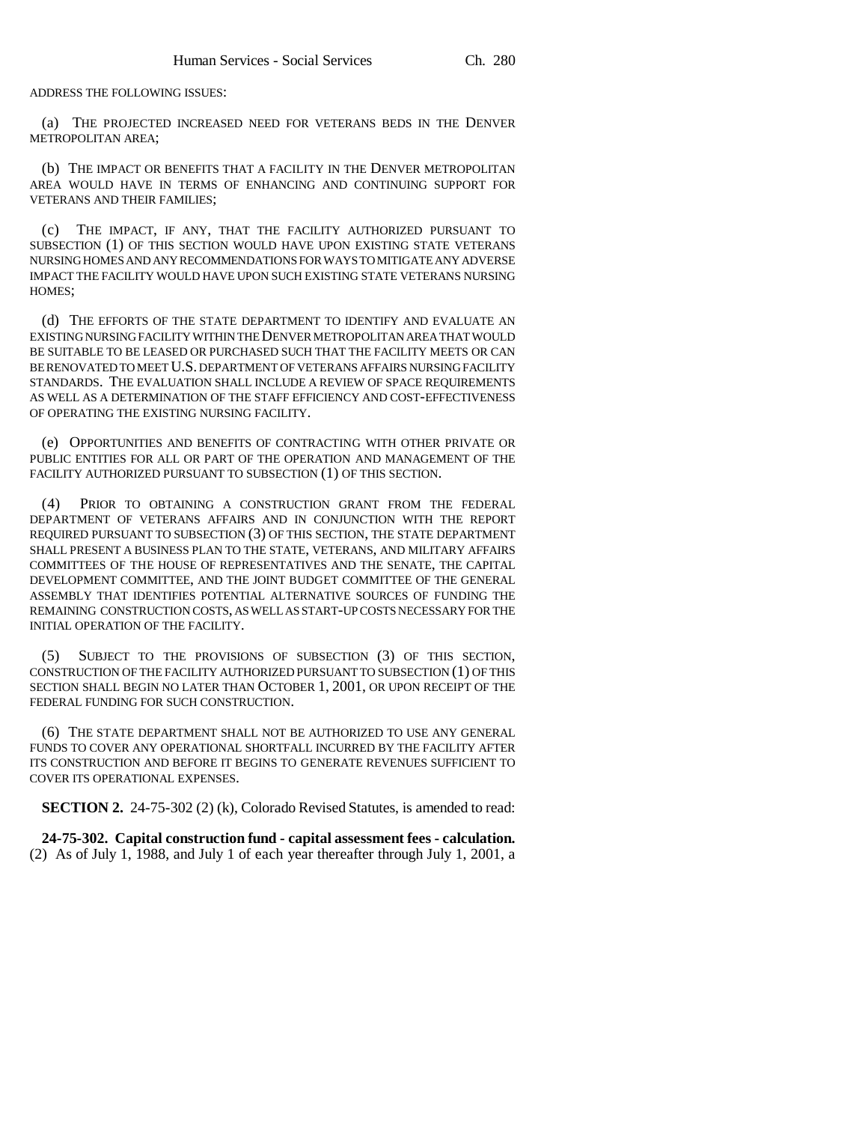ADDRESS THE FOLLOWING ISSUES:

(a) THE PROJECTED INCREASED NEED FOR VETERANS BEDS IN THE DENVER METROPOLITAN AREA;

(b) THE IMPACT OR BENEFITS THAT A FACILITY IN THE DENVER METROPOLITAN AREA WOULD HAVE IN TERMS OF ENHANCING AND CONTINUING SUPPORT FOR VETERANS AND THEIR FAMILIES;

(c) THE IMPACT, IF ANY, THAT THE FACILITY AUTHORIZED PURSUANT TO SUBSECTION (1) OF THIS SECTION WOULD HAVE UPON EXISTING STATE VETERANS NURSING HOMES AND ANY RECOMMENDATIONS FOR WAYS TO MITIGATE ANY ADVERSE IMPACT THE FACILITY WOULD HAVE UPON SUCH EXISTING STATE VETERANS NURSING HOMES;

(d) THE EFFORTS OF THE STATE DEPARTMENT TO IDENTIFY AND EVALUATE AN EXISTING NURSING FACILITY WITHIN THE DENVER METROPOLITAN AREA THAT WOULD BE SUITABLE TO BE LEASED OR PURCHASED SUCH THAT THE FACILITY MEETS OR CAN BE RENOVATED TO MEET U.S. DEPARTMENT OF VETERANS AFFAIRS NURSING FACILITY STANDARDS. THE EVALUATION SHALL INCLUDE A REVIEW OF SPACE REQUIREMENTS AS WELL AS A DETERMINATION OF THE STAFF EFFICIENCY AND COST-EFFECTIVENESS OF OPERATING THE EXISTING NURSING FACILITY.

(e) OPPORTUNITIES AND BENEFITS OF CONTRACTING WITH OTHER PRIVATE OR PUBLIC ENTITIES FOR ALL OR PART OF THE OPERATION AND MANAGEMENT OF THE FACILITY AUTHORIZED PURSUANT TO SUBSECTION (1) OF THIS SECTION.

(4) PRIOR TO OBTAINING A CONSTRUCTION GRANT FROM THE FEDERAL DEPARTMENT OF VETERANS AFFAIRS AND IN CONJUNCTION WITH THE REPORT REQUIRED PURSUANT TO SUBSECTION (3) OF THIS SECTION, THE STATE DEPARTMENT SHALL PRESENT A BUSINESS PLAN TO THE STATE, VETERANS, AND MILITARY AFFAIRS COMMITTEES OF THE HOUSE OF REPRESENTATIVES AND THE SENATE, THE CAPITAL DEVELOPMENT COMMITTEE, AND THE JOINT BUDGET COMMITTEE OF THE GENERAL ASSEMBLY THAT IDENTIFIES POTENTIAL ALTERNATIVE SOURCES OF FUNDING THE REMAINING CONSTRUCTION COSTS, AS WELL AS START-UP COSTS NECESSARY FOR THE INITIAL OPERATION OF THE FACILITY.

(5) SUBJECT TO THE PROVISIONS OF SUBSECTION (3) OF THIS SECTION, CONSTRUCTION OF THE FACILITY AUTHORIZED PURSUANT TO SUBSECTION (1) OF THIS SECTION SHALL BEGIN NO LATER THAN OCTOBER 1, 2001, OR UPON RECEIPT OF THE FEDERAL FUNDING FOR SUCH CONSTRUCTION.

(6) THE STATE DEPARTMENT SHALL NOT BE AUTHORIZED TO USE ANY GENERAL FUNDS TO COVER ANY OPERATIONAL SHORTFALL INCURRED BY THE FACILITY AFTER ITS CONSTRUCTION AND BEFORE IT BEGINS TO GENERATE REVENUES SUFFICIENT TO COVER ITS OPERATIONAL EXPENSES.

**SECTION 2.** 24-75-302 (2) (k), Colorado Revised Statutes, is amended to read:

**24-75-302. Capital construction fund - capital assessment fees - calculation.** (2) As of July 1, 1988, and July 1 of each year thereafter through July 1, 2001, a